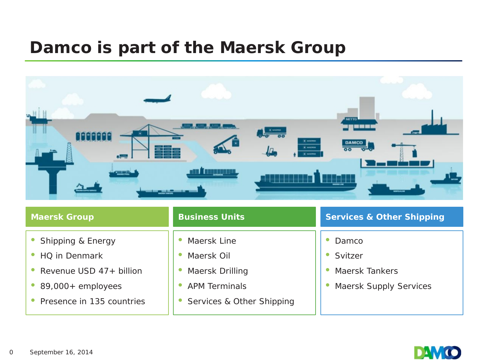## **Damco is part of the Maersk Group**



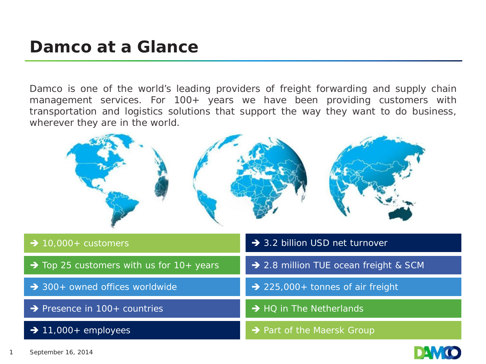## **Damco at a Glance**

Damco is one of the world's leading providers of freight forwarding and supply chain management services. For 100+ years we have been providing customers with transportation and logistics solutions that support the way they want to do business, wherever they are in the world.



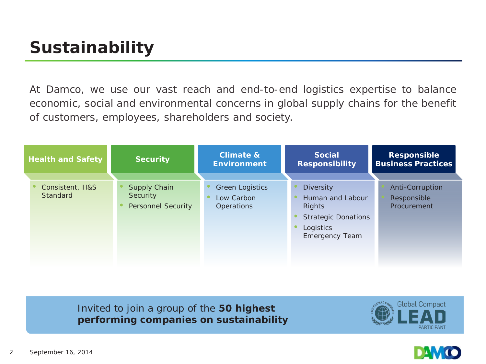## **Sustainability**

At Damco, we use our vast reach and end-to-end logistics expertise to balance economic, social and environmental concerns in global supply chains for the benefit of customers, employees, shareholders and society.

| <b>Health and Safety</b>    | <b>Security</b>                                              | <b>Climate &amp;</b><br><b>Environment</b>                | <b>Social</b><br><b>Responsibility</b>                                                                                    | <b>Responsible</b><br><b>Business Practices</b> |
|-----------------------------|--------------------------------------------------------------|-----------------------------------------------------------|---------------------------------------------------------------------------------------------------------------------------|-------------------------------------------------|
| Consistent, H&S<br>Standard | <b>Supply Chain</b><br>Security<br><b>Personnel Security</b> | <b>Green Logistics</b><br>Low Carbon<br><b>Operations</b> | <b>Diversity</b><br>Human and Labour<br><b>Rights</b><br><b>Strategic Donations</b><br>Logistics<br><b>Emergency Team</b> | Anti-Corruption<br>Responsible<br>Procurement   |

Invited to join a group of the **50 highest performing companies on sustainability**